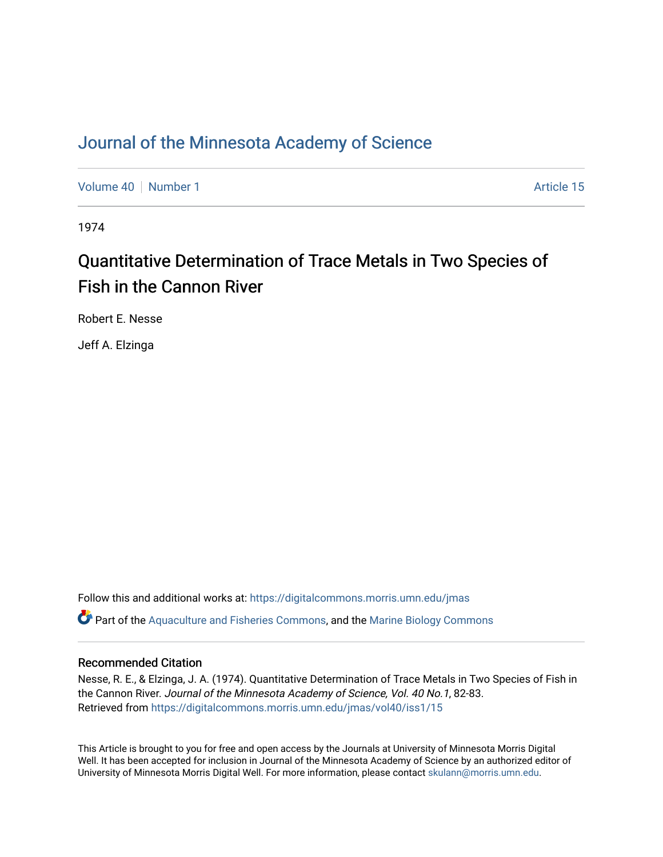### [Journal of the Minnesota Academy of Science](https://digitalcommons.morris.umn.edu/jmas)

[Volume 40](https://digitalcommons.morris.umn.edu/jmas/vol40) [Number 1](https://digitalcommons.morris.umn.edu/jmas/vol40/iss1) Article 15

1974

## Quantitative Determination of Trace Metals in Two Species of Fish in the Cannon River

Robert E. Nesse

Jeff A. Elzinga

Follow this and additional works at: [https://digitalcommons.morris.umn.edu/jmas](https://digitalcommons.morris.umn.edu/jmas?utm_source=digitalcommons.morris.umn.edu%2Fjmas%2Fvol40%2Fiss1%2F15&utm_medium=PDF&utm_campaign=PDFCoverPages)   $\bullet$  Part of the [Aquaculture and Fisheries Commons](https://network.bepress.com/hgg/discipline/78?utm_source=digitalcommons.morris.umn.edu%2Fjmas%2Fvol40%2Fiss1%2F15&utm_medium=PDF&utm_campaign=PDFCoverPages), and the Marine Biology Commons

#### Recommended Citation

Nesse, R. E., & Elzinga, J. A. (1974). Quantitative Determination of Trace Metals in Two Species of Fish in the Cannon River. Journal of the Minnesota Academy of Science, Vol. 40 No.1, 82-83. Retrieved from [https://digitalcommons.morris.umn.edu/jmas/vol40/iss1/15](https://digitalcommons.morris.umn.edu/jmas/vol40/iss1/15?utm_source=digitalcommons.morris.umn.edu%2Fjmas%2Fvol40%2Fiss1%2F15&utm_medium=PDF&utm_campaign=PDFCoverPages) 

This Article is brought to you for free and open access by the Journals at University of Minnesota Morris Digital Well. It has been accepted for inclusion in Journal of the Minnesota Academy of Science by an authorized editor of University of Minnesota Morris Digital Well. For more information, please contact [skulann@morris.umn.edu](mailto:skulann@morris.umn.edu).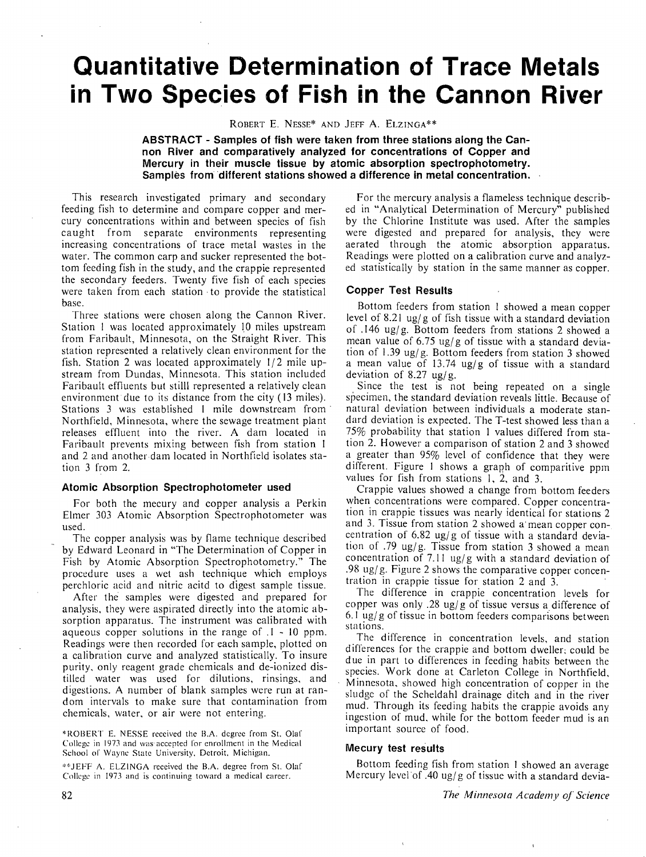# **Quantitative Determination of Trace Metals in Two Species of Fish in the Cannon River**

ROBERT E. NESSE\* AND JEFF A. ELZINGA\*\*

**ABSTRACT - Samples of fish were taken from three stations along the Cannon River and comparatively analyzed for concentrations of Copper and Mercury in their muscle tissue by atomic absorption spectrophotometry. Samples from different stations showed a difference in metal concentration.** 

This research investigated primary and secondary feeding fish to determine and compare copper and mercury concentrations within and between species of fish caught from separate environments representing increasing concentrations of trace metal wastes in the water. The common carp and sucker represented the bottom feeding fish in the study, and the crappie represented the secondary feeders. Twenty five fish of each species were taken from each station • to provide the statistical base.

Three stations were chosen along the Cannon River. Station 1 was located approximately 10 miles upstream from Faribault, Minnesota, on the Straight River. This station represented a relatively clean environment for the fish. Station 2 was located approximately  $1/2$  mile upstream from Dundas, Minnesota. This station included Faribault effluents but stiIII represented a relatively clean environment due to its distance from the city ( 13 miles). Stations 3 was established 1 mile downstream from Northfield, Minnesota, where the sewage treatment plant releases effluent into the river. A dam located in Faribault prevents mixing between fish from station I and 2 and another dam located in Northfield isolates station 3 from 2.

#### **Atomic Absorption Spectrophotometer used**

For both the mecury and copper analysis a Perkin Elmer 303 Atomic Absorption Spectrophotometer was used.

The copper analysis was by flame technique described by Edward Leonard in "The Determination of Copper in Fish by Atomic Absorption Spectrophotometry." The procedure uses a wet ash technique which employs perchloric acid and nitric acitd to digest sample tissue.

After the samples were digested and prepared for analysis, they were aspirated directly into the atomic absorption apparatus. The instrument was calibrated with aqueous copper solutions in the range of  $.1 - 10$  ppm. Readings were then recorded for each sample, plotted on a calibration curve and analyzed statistically. To insure purity. only reagent grade chemicals and de-ionized distilled water was used for dilutions, rinsings, and digestions. A number of blank samples were run at random intervals to make sure that contamination from chemicals, water. or air were not entering.

\*ROBERT E. NESSE received the B.A. degree from St. Olaf College in 1973 and was·accepted for enrollment in the Medical School of Wayne State University, Detroit, Michigan.

'''"JEFF A. ELZINGA received the B.A. degree from St. Olaf College in 1973 and is continuing toward a medical career.

For the mercury analysis a flameless technique described in "Analytical Determination of Mercury" published by the Chlorine Institute was used. After the samples were digested and prepared for analysis, they were aerated through the atomic absorption apparatus. Readings were plotted on a calibration curve and analyzed statistically by station in the same manner as copper.

#### **Copper Test Results**

Bottom feeders from station I showed a mean copper level of 8.21 ug/g of fish tissue with a standard deviation of .146 ug/g. Bottom feeders from stations 2 showed a mean value of  $6.75 \text{ ug/g}$  of tissue with a standard deviation of 1.39 ug/g. Bottom feeders from station 3 showed a mean value of 13.74 ug/g of tissue with a standard deviation of 8.27 ug/g.

Since the test is not being repeated on a single specimen, the standard deviation reveals little. Because of natural deviation between individuals a moderate standard deviation is expected. The T-test showed less than a 75% probability that station I values differed from station 2. However a comparison of station 2 and 3 showed a greater than 95% level of confidence that they were different. Figure l shows a graph of comparitive ppm values for fish from stations l, 2, and 3.

Crappie values showed a change from bottom feeders when concentrations were compared. Copper concentration in crappie tissues was nearly identical for stations 2 and 3. Tissue from station 2 showed a mean copper concentration of 6.82 ug/g of tissue with a standard deviation of .79 ug/g. Tissue from station 3 showed a mean concentration of 7.11 ug/g with a standard deviation of .98 ug/ g. Figure 2 shows the comparative copper concentration in crappie tissue for station 2 and 3.

The difference in crappie concentration levels for copper was only .28 ug/g of tissue versus a difference of 6.1 ug/ g of tissue in bottom feeders comparisons between stations.

The difference in concentration levels, and station differences for the crappie and bottom dweller: could be due in part to differences in feeding habits between the species. Work done at Carleton College in Northfield. Minnesota, showed high concentration of copper in the sludge of the Scheldahl drainage ditch and in the river mud. Through its feeding habits the crappie avoids any ingestion of mud. while for the bottom feeder mud is an important source of food.

#### **Mecury test results**

Bottom feeding fish from station I showed an average Mercury level of .40 ug/g of tissue with a standard devia-

82